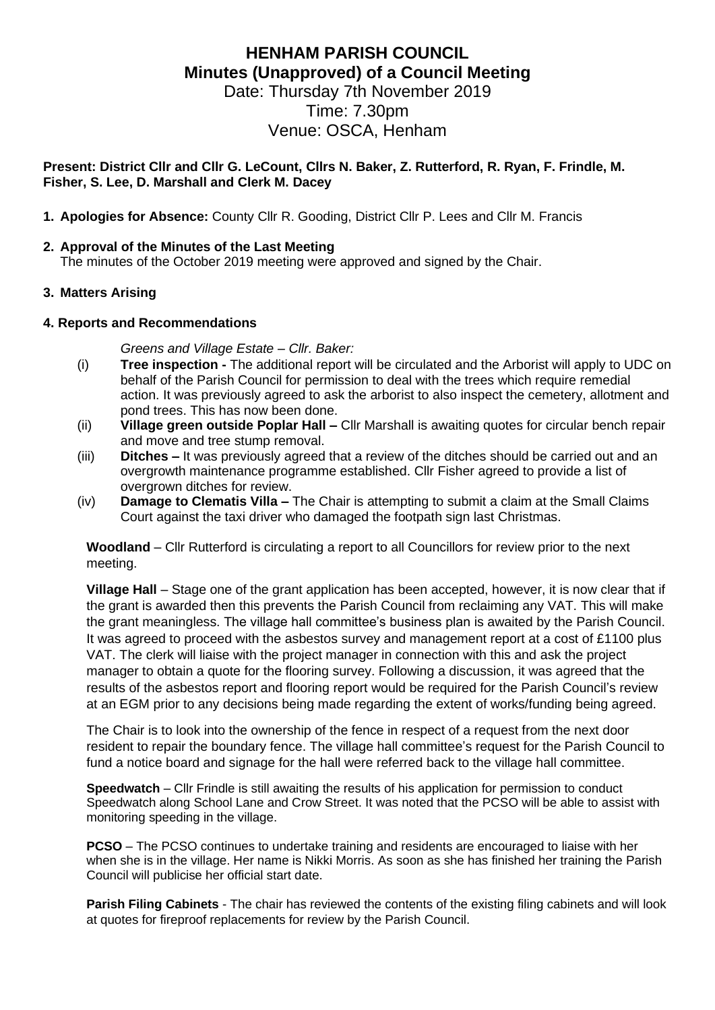# **HENHAM PARISH COUNCIL Minutes (Unapproved) of a Council Meeting**

Date: Thursday 7th November 2019 Time: 7.30pm Venue: OSCA, Henham

#### **Present: District Cllr and Cllr G. LeCount, Cllrs N. Baker, Z. Rutterford, R. Ryan, F. Frindle, M. Fisher, S. Lee, D. Marshall and Clerk M. Dacey**

**1. Apologies for Absence:** County Cllr R. Gooding, District Cllr P. Lees and Cllr M. Francis

#### **2. Approval of the Minutes of the Last Meeting**

The minutes of the October 2019 meeting were approved and signed by the Chair.

# **3. Matters Arising**

#### **4. Reports and Recommendations**

*Greens and Village Estate – Cllr. Baker:*

- (i) **Tree inspection -** The additional report will be circulated and the Arborist will apply to UDC on behalf of the Parish Council for permission to deal with the trees which require remedial action. It was previously agreed to ask the arborist to also inspect the cemetery, allotment and pond trees. This has now been done.
- (ii) **Village green outside Poplar Hall –** Cllr Marshall is awaiting quotes for circular bench repair and move and tree stump removal.
- (iii) **Ditches –** It was previously agreed that a review of the ditches should be carried out and an overgrowth maintenance programme established. Cllr Fisher agreed to provide a list of overgrown ditches for review.
- (iv) **Damage to Clematis Villa –** The Chair is attempting to submit a claim at the Small Claims Court against the taxi driver who damaged the footpath sign last Christmas.

**Woodland** – Cllr Rutterford is circulating a report to all Councillors for review prior to the next meeting.

**Village Hall** – Stage one of the grant application has been accepted, however, it is now clear that if the grant is awarded then this prevents the Parish Council from reclaiming any VAT. This will make the grant meaningless. The village hall committee's business plan is awaited by the Parish Council. It was agreed to proceed with the asbestos survey and management report at a cost of £1100 plus VAT. The clerk will liaise with the project manager in connection with this and ask the project manager to obtain a quote for the flooring survey. Following a discussion, it was agreed that the results of the asbestos report and flooring report would be required for the Parish Council's review at an EGM prior to any decisions being made regarding the extent of works/funding being agreed.

The Chair is to look into the ownership of the fence in respect of a request from the next door resident to repair the boundary fence. The village hall committee's request for the Parish Council to fund a notice board and signage for the hall were referred back to the village hall committee.

**Speedwatch** – Cllr Frindle is still awaiting the results of his application for permission to conduct Speedwatch along School Lane and Crow Street. It was noted that the PCSO will be able to assist with monitoring speeding in the village.

**PCSO** – The PCSO continues to undertake training and residents are encouraged to liaise with her when she is in the village. Her name is Nikki Morris. As soon as she has finished her training the Parish Council will publicise her official start date.

**Parish Filing Cabinets** - The chair has reviewed the contents of the existing filing cabinets and will look at quotes for fireproof replacements for review by the Parish Council.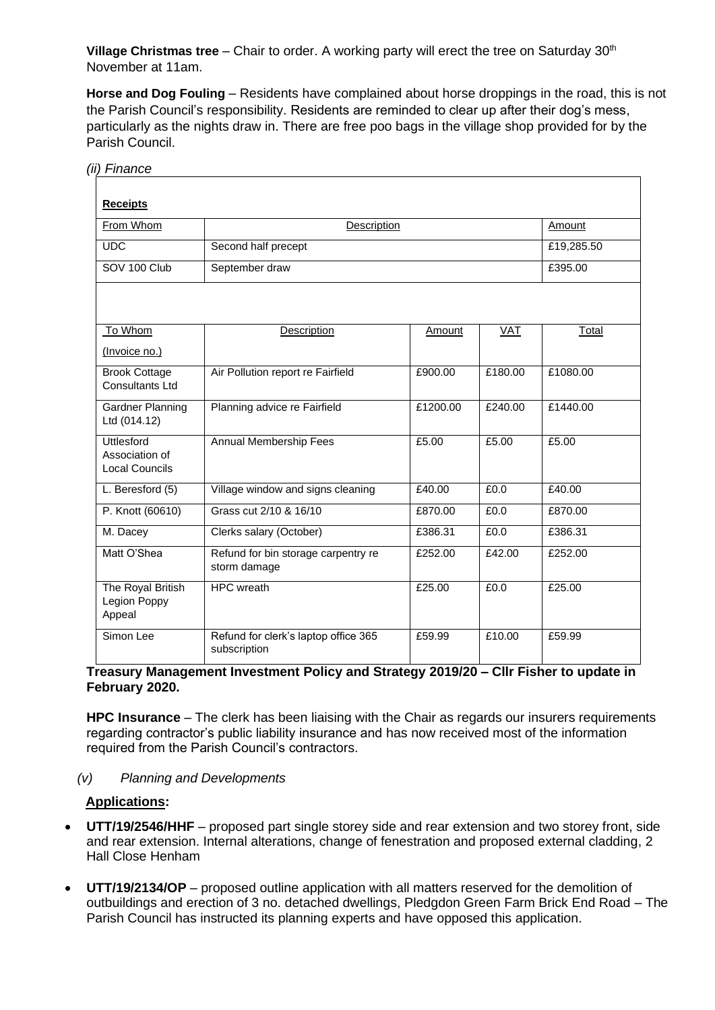**Village Christmas tree** – Chair to order. A working party will erect the tree on Saturday 30<sup>th</sup> November at 11am.

**Horse and Dog Fouling** – Residents have complained about horse droppings in the road, this is not the Parish Council's responsibility. Residents are reminded to clear up after their dog's mess, particularly as the nights draw in. There are free poo bags in the village shop provided for by the Parish Council.

| (ii) Finance                                                 |                                                      |          |            |              |
|--------------------------------------------------------------|------------------------------------------------------|----------|------------|--------------|
| <b>Receipts</b>                                              |                                                      |          |            |              |
| From Whom                                                    | Description                                          |          |            | Amount       |
| <b>UDC</b>                                                   | Second half precept                                  |          |            | £19,285.50   |
| SOV 100 Club                                                 | September draw                                       |          |            | £395.00      |
|                                                              |                                                      |          |            |              |
| To Whom                                                      | Description                                          | Amount   | <b>VAT</b> | <b>Total</b> |
| (Invoice no.)                                                |                                                      |          |            |              |
| <b>Brook Cottage</b><br>Consultants Ltd                      | Air Pollution report re Fairfield                    | £900.00  | £180.00    | £1080.00     |
| Gardner Planning<br>Ltd (014.12)                             | Planning advice re Fairfield                         | £1200.00 | £240.00    | £1440.00     |
| <b>Uttlesford</b><br>Association of<br><b>Local Councils</b> | Annual Membership Fees                               | £5.00    | £5.00      | £5.00        |
| L. Beresford (5)                                             | Village window and signs cleaning                    | £40.00   | £0.0       | £40.00       |
| P. Knott (60610)                                             | Grass cut 2/10 & 16/10                               | £870.00  | £0.0       | £870.00      |
| M. Dacey                                                     | Clerks salary (October)                              | £386.31  | £0.0       | £386.31      |
| Matt O'Shea                                                  | Refund for bin storage carpentry re<br>storm damage  | £252.00  | £42.00     | £252.00      |
| The Royal British<br>Legion Poppy<br>Appeal                  | <b>HPC</b> wreath                                    | £25.00   | £0.0       | £25.00       |
| Simon Lee                                                    | Refund for clerk's laptop office 365<br>subscription | £59.99   | £10.00     | £59.99       |

# **Treasury Management Investment Policy and Strategy 2019/20 – Cllr Fisher to update in February 2020.**

**HPC Insurance** – The clerk has been liaising with the Chair as regards our insurers requirements regarding contractor's public liability insurance and has now received most of the information required from the Parish Council's contractors.

#### *(v) Planning and Developments*

# **Applications:**

- **UTT/19/2546/HHF** proposed part single storey side and rear extension and two storey front, side and rear extension. Internal alterations, change of fenestration and proposed external cladding, 2 Hall Close Henham
- **UTT/19/2134/OP** proposed outline application with all matters reserved for the demolition of outbuildings and erection of 3 no. detached dwellings, Pledgdon Green Farm Brick End Road – The Parish Council has instructed its planning experts and have opposed this application.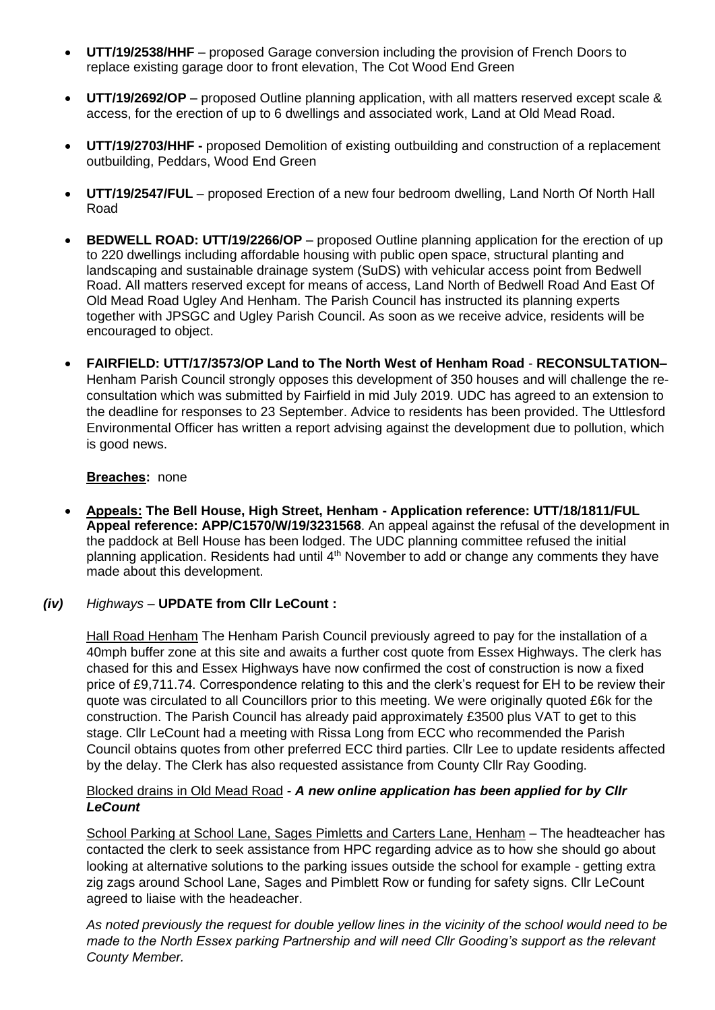- **UTT/19/2538/HHF** proposed Garage conversion including the provision of French Doors to replace existing garage door to front elevation, The Cot Wood End Green
- **UTT/19/2692/OP** proposed Outline planning application, with all matters reserved except scale & access, for the erection of up to 6 dwellings and associated work, Land at Old Mead Road.
- **UTT/19/2703/HHF -** proposed Demolition of existing outbuilding and construction of a replacement outbuilding, Peddars, Wood End Green
- **UTT/19/2547/FUL** proposed Erection of a new four bedroom dwelling, Land North Of North Hall Road
- **BEDWELL ROAD: UTT/19/2266/OP** proposed Outline planning application for the erection of up to 220 dwellings including affordable housing with public open space, structural planting and landscaping and sustainable drainage system (SuDS) with vehicular access point from Bedwell Road. All matters reserved except for means of access, Land North of Bedwell Road And East Of Old Mead Road Ugley And Henham. The Parish Council has instructed its planning experts together with JPSGC and Ugley Parish Council. As soon as we receive advice, residents will be encouraged to object.
- **FAIRFIELD: UTT/17/3573/OP Land to The North West of Henham Road RECONSULTATION–** Henham Parish Council strongly opposes this development of 350 houses and will challenge the reconsultation which was submitted by Fairfield in mid July 2019. UDC has agreed to an extension to the deadline for responses to 23 September. Advice to residents has been provided. The Uttlesford Environmental Officer has written a report advising against the development due to pollution, which is good news.

# **Breaches:** none

• **Appeals: The Bell House, High Street, Henham - Application reference: UTT/18/1811/FUL Appeal reference: APP/C1570/W/19/3231568**. An appeal against the refusal of the development in the paddock at Bell House has been lodged. The UDC planning committee refused the initial planning application. Residents had until 4<sup>th</sup> November to add or change any comments they have made about this development.

#### *(iv) Highways –* **UPDATE from Cllr LeCount :**

Hall Road Henham The Henham Parish Council previously agreed to pay for the installation of a 40mph buffer zone at this site and awaits a further cost quote from Essex Highways. The clerk has chased for this and Essex Highways have now confirmed the cost of construction is now a fixed price of £9,711.74. Correspondence relating to this and the clerk's request for EH to be review their quote was circulated to all Councillors prior to this meeting. We were originally quoted £6k for the construction. The Parish Council has already paid approximately £3500 plus VAT to get to this stage. Cllr LeCount had a meeting with Rissa Long from ECC who recommended the Parish Council obtains quotes from other preferred ECC third parties. Cllr Lee to update residents affected by the delay. The Clerk has also requested assistance from County Cllr Ray Gooding.

# Blocked drains in Old Mead Road - *A new online application has been applied for by Cllr LeCount*

School Parking at School Lane, Sages Pimletts and Carters Lane, Henham – The headteacher has contacted the clerk to seek assistance from HPC regarding advice as to how she should go about looking at alternative solutions to the parking issues outside the school for example - getting extra zig zags around School Lane, Sages and Pimblett Row or funding for safety signs. Cllr LeCount agreed to liaise with the headeacher.

*As noted previously the request for double yellow lines in the vicinity of the school would need to be made to the North Essex parking Partnership and will need Cllr Gooding's support as the relevant County Member.*